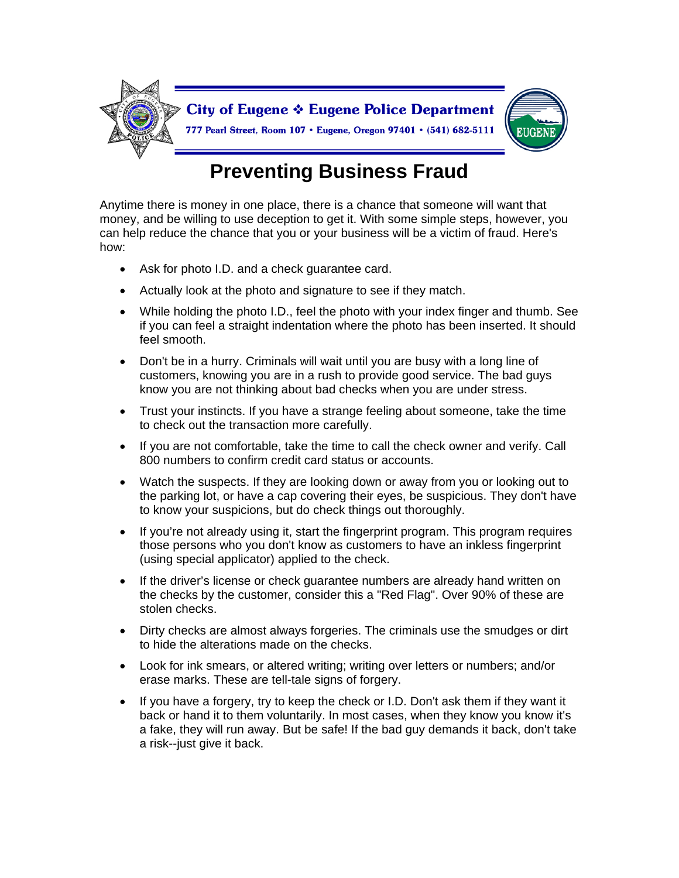

## **Preventing Business Fraud**

Anytime there is money in one place, there is a chance that someone will want that money, and be willing to use deception to get it. With some simple steps, however, you can help reduce the chance that you or your business will be a victim of fraud. Here's how:

- Ask for photo I.D. and a check guarantee card.
- Actually look at the photo and signature to see if they match.
- While holding the photo I.D., feel the photo with your index finger and thumb. See if you can feel a straight indentation where the photo has been inserted. It should feel smooth.
- Don't be in a hurry. Criminals will wait until you are busy with a long line of customers, knowing you are in a rush to provide good service. The bad guys know you are not thinking about bad checks when you are under stress.
- Trust your instincts. If you have a strange feeling about someone, take the time to check out the transaction more carefully.
- If you are not comfortable, take the time to call the check owner and verify. Call 800 numbers to confirm credit card status or accounts.
- Watch the suspects. If they are looking down or away from you or looking out to the parking lot, or have a cap covering their eyes, be suspicious. They don't have to know your suspicions, but do check things out thoroughly.
- If you're not already using it, start the fingerprint program. This program requires those persons who you don't know as customers to have an inkless fingerprint (using special applicator) applied to the check.
- If the driver's license or check guarantee numbers are already hand written on the checks by the customer, consider this a "Red Flag". Over 90% of these are stolen checks.
- Dirty checks are almost always forgeries. The criminals use the smudges or dirt to hide the alterations made on the checks.
- Look for ink smears, or altered writing; writing over letters or numbers; and/or erase marks. These are tell-tale signs of forgery.
- If you have a forgery, try to keep the check or I.D. Don't ask them if they want it back or hand it to them voluntarily. In most cases, when they know you know it's a fake, they will run away. But be safe! If the bad guy demands it back, don't take a risk--just give it back.